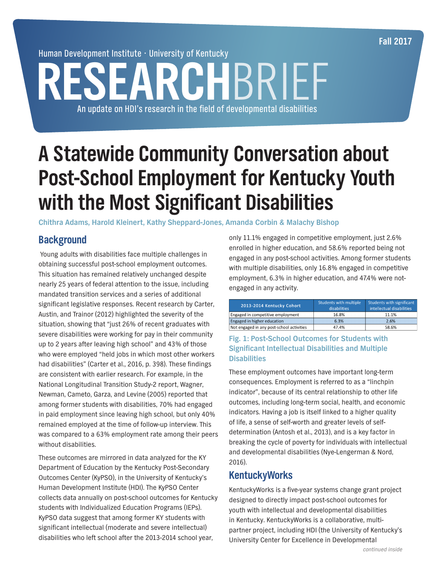**Fall 2017**

Human Development Institute • University of Kentucky

# **RESEARCH**BRIEF An update on HDI's research in the field of developmental disabilities

## **A Statewide Community Conversation about Post-School Employment for Kentucky Youth with the Most Significant Disabilities**

**Chithra Adams, Harold Kleinert, Kathy Sheppard-Jones, Amanda Corbin & Malachy Bishop**

## **Background**

 Young adults with disabilities face multiple challenges in obtaining successful post-school employment outcomes. This situation has remained relatively unchanged despite nearly 25 years of federal attention to the issue, including mandated transition services and a series of additional significant legislative responses. Recent research by Carter, Austin, and Trainor (2012) highlighted the severity of the situation, showing that "just 26% of recent graduates with severe disabilities were working for pay in their community up to 2 years after leaving high school" and 43% of those who were employed "held jobs in which most other workers had disabilities" (Carter et al., 2016, p. 398). These findings are consistent with earlier research. For example, in the National Longitudinal Transition Study-2 report, Wagner, Newman, Cameto, Garza, and Levine (2005) reported that among former students with disabilities, 70% had engaged in paid employment since leaving high school, but only 40% remained employed at the time of follow-up interview. This was compared to a 63% employment rate among their peers without disabilities.

These outcomes are mirrored in data analyzed for the KY Department of Education by the Kentucky Post-Secondary Outcomes Center (KyPSO), in the University of Kentucky's Human Development Institute (HDI). The KyPSO Center collects data annually on post-school outcomes for Kentucky students with Individualized Education Programs (IEPs). KyPSO data suggest that among former KY students with significant intellectual (moderate and severe intellectual) disabilities who left school after the 2013-2014 school year,

only 11.1% engaged in competitive employment, just 2.6% enrolled in higher education, and 58.6% reported being not engaged in any post-school activities. Among former students with multiple disabilities, only 16.8% engaged in competitive employment, 6.3% in higher education, and 47.4% were notengaged in any activity.

| 2013-2014 Kentucky Cohort                 | <b>Students with multiple</b><br>disabilities | Students with significant<br>intellectual disabilities |
|-------------------------------------------|-----------------------------------------------|--------------------------------------------------------|
| Engaged in competitive employment         | 16.8%                                         | 11.1%                                                  |
| Engaged in higher education               | 6.3%                                          | 2.6%                                                   |
| Not engaged in any post-school activities | 47.4%                                         | 58.6%                                                  |

#### **Fig. 1: Post-School Outcomes for Students with Significant Intellectual Disabilities and Multiple Disabilities**

These employment outcomes have important long-term consequences. Employment is referred to as a "linchpin indicator", because of its central relationship to other life outcomes, including long-term social, health, and economic indicators. Having a job is itself linked to a higher quality of life, a sense of self-worth and greater levels of selfdetermination (Antosh et al., 2013), and is a key factor in breaking the cycle of poverty for individuals with intellectual and developmental disabilities (Nye-Lengerman & Nord, 2016).

## **KentuckyWorks**

KentuckyWorks is a five-year systems change grant project designed to directly impact post-school outcomes for youth with intellectual and developmental disabilities in Kentucky. KentuckyWorks is a collaborative, multipartner project, including HDI (the University of Kentucky's University Center for Excellence in Developmental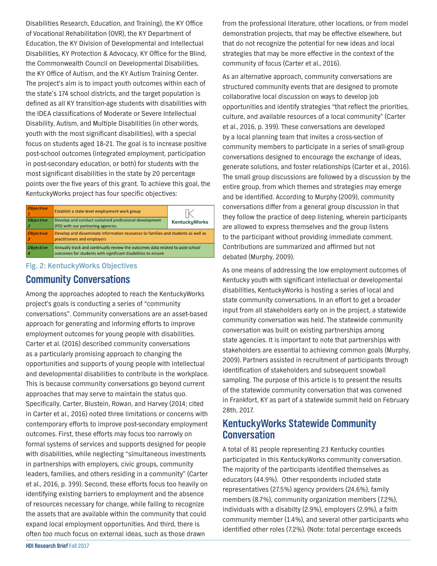Disabilities Research, Education, and Training), the KY Office of Vocational Rehabilitation (OVR), the KY Department of Education, the KY Division of Developmental and Intellectual Disabilities, KY Protection & Advocacy, KY Office for the Blind, the Commonwealth Council on Developmental Disabilities, the KY Office of Autism, and the KY Autism Training Center. The project's aim is to impact youth outcomes within each of the state's 174 school districts, and the target population is defined as all KY transition-age students with disabilities with the IDEA classifications of Moderate or Severe Intellectual Disability, Autism, and Multiple Disabilities (in other words, youth with the most significant disabilities), with a special focus on students aged 18-21. The goal is to increase positive post-school outcomes (integrated employment, participation in post-secondary education, or both) for students with the most significant disabilities in the state by 20 percentage points over the five years of this grant. To achieve this goal, the KentuckyWorks project has four specific objectives:

| <i><b>Objective</b></i>       | Establish a state-level employment work group                                                                                                   |                      |  |
|-------------------------------|-------------------------------------------------------------------------------------------------------------------------------------------------|----------------------|--|
| <i><b>Objective</b></i><br>12 | Develop and conduct sustained professional development<br>(PD) with our partnering agencies                                                     | <b>KentuckyWorks</b> |  |
| <b>Objective</b>              | Develop and disseminate information resources to families and students as well as<br>practitioners and employers                                |                      |  |
| <i><b>Objective</b></i>       | Annually track and continually review the outcomes data related to post-school<br>outcomes for students with significant disabilities to ensure |                      |  |

#### **Fig. 2: KentuckyWorks Objectives**

## **Community Conversations**

Among the approaches adopted to reach the KentuckyWorks project's goals is conducting a series of "community conversations". Community conversations are an asset-based approach for generating and informing efforts to improve employment outcomes for young people with disabilities. Carter et al. (2016) described community conversations as a particularly promising approach to changing the opportunities and supports of young people with intellectual and developmental disabilities to contribute in the workplace. This is because community conversations go beyond current approaches that may serve to maintain the status quo. Specifically, Carter, Blustein, Rowan, and Harvey (2014; cited in Carter et al., 2016) noted three limitations or concerns with contemporary efforts to improve post-secondary employment outcomes. First, these efforts may focus too narrowly on formal systems of services and supports designed for people with disabilities, while neglecting "simultaneous investments in partnerships with employers, civic groups, community leaders, families, and others residing in a community" (Carter et al., 2016, p. 399). Second, these efforts focus too heavily on identifying existing barriers to employment and the absence of resources necessary for change, while failing to recognize the assets that are available within the community that could expand local employment opportunities. And third, there is often too much focus on external ideas, such as those drawn

from the professional literature, other locations, or from model demonstration projects, that may be effective elsewhere, but that do not recognize the potential for new ideas and local strategies that may be more effective in the context of the community of focus (Carter et al., 2016).

As an alternative approach, community conversations are structured community events that are designed to promote collaborative local discussion on ways to develop job opportunities and identify strategies "that reflect the priorities, culture, and available resources of a local community" (Carter et al., 2016, p. 399). These conversations are developed by a local planning team that invites a cross-section of community members to participate in a series of small-group conversations designed to encourage the exchange of ideas, generate solutions, and foster relationships (Carter et al., 2016). The small group discussions are followed by a discussion by the entire group, from which themes and strategies may emerge and be identified. According to Murphy (2009), community conversations differ from a general group discussion in that they follow the practice of deep listening, wherein participants are allowed to express themselves and the group listens to the participant without providing immediate comment. Contributions are summarized and affirmed but not debated (Murphy, 2009).

As one means of addressing the low employment outcomes of Kentucky youth with significant intellectual or developmental disabilities, KentuckyWorks is hosting a series of local and state community conversations. In an effort to get a broader input from all stakeholders early on in the project, a statewide community conversation was held. The statewide community conversation was built on existing partnerships among state agencies. It is important to note that partnerships with stakeholders are essential to achieving common goals (Murphy, 2009). Partners assisted in recruitment of participants through identification of stakeholders and subsequent snowball sampling. The purpose of this article is to present the results of the statewide community conversation that was convened in Frankfort, KY as part of a statewide summit held on February 28th, 2017.

## **KentuckyWorks Statewide Community Conversation**

A total of 81 people representing 23 Kentucky counties participated in this KentuckyWorks community conversation. The majority of the participants identified themselves as educators (44.9%). Other respondents included state representatives (27.5%) agency providers (24.6%), family members (8.7%), community organization members (7.2%), individuals with a disabilty (2.9%), employers (2.9%), a faith community member (1.4%), and several other participants who identified other roles (7.2%). (Note: total percentage exceeds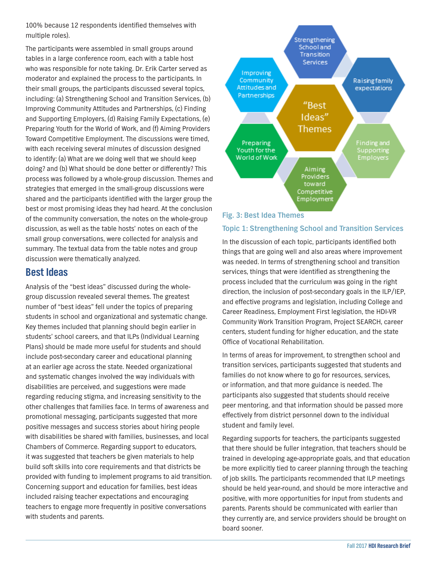100% because 12 respondents identified themselves with multiple roles).

The participants were assembled in small groups around tables in a large conference room, each with a table host who was responsible for note taking. Dr. Erik Carter served as moderator and explained the process to the participants. In their small groups, the participants discussed several topics, including: (a) Strengthening School and Transition Services, (b) Improving Community Attitudes and Partnerships, (c) Finding and Supporting Employers, (d) Raising Family Expectations, (e) Preparing Youth for the World of Work, and (f) Aiming Providers Toward Competitive Employment. The discussions were timed, with each receiving several minutes of discussion designed to identify: (a) What are we doing well that we should keep doing? and (b) What should be done better or differently? This process was followed by a whole-group discussion. Themes and strategies that emerged in the small-group discussions were shared and the participants identified with the larger group the best or most promising ideas they had heard. At the conclusion of the community conversation, the notes on the whole-group discussion, as well as the table hosts' notes on each of the small group conversations, were collected for analysis and summary. The textual data from the table notes and group discussion were thematically analyzed.

### **Best Ideas**

Analysis of the "best ideas" discussed during the wholegroup discussion revealed several themes. The greatest number of "best ideas" fell under the topics of preparing students in school and organizational and systematic change. Key themes included that planning should begin earlier in students' school careers, and that ILPs (Individual Learning Plans) should be made more useful for students and should include post-secondary career and educational planning at an earlier age across the state. Needed organizational and systematic changes involved the way individuals with disabilities are perceived, and suggestions were made regarding reducing stigma, and increasing sensitivity to the other challenges that families face. In terms of awareness and promotional messaging, participants suggested that more positive messages and success stories about hiring people with disabilities be shared with families, businesses, and local Chambers of Commerce. Regarding support to educators, it was suggested that teachers be given materials to help build soft skills into core requirements and that districts be provided with funding to implement programs to aid transition. Concerning support and education for families, best ideas included raising teacher expectations and encouraging teachers to engage more frequently in positive conversations with students and parents.



#### **Fig. 3: Best Idea Themes**

#### **Topic 1: Strengthening School and Transition Services**

In the discussion of each topic, participants identified both things that are going well and also areas where improvement was needed. In terms of strengthening school and transition services, things that were identified as strengthening the process included that the curriculum was going in the right direction, the inclusion of post-secondary goals in the ILP/IEP, and effective programs and legislation, including College and Career Readiness, Employment First legislation, the HDI-VR Community Work Transition Program, Project SEARCH, career centers, student funding for higher education, and the state Office of Vocational Rehabilitation.

In terms of areas for improvement, to strengthen school and transition services, participants suggested that students and families do not know where to go for resources, services, or information, and that more guidance is needed. The participants also suggested that students should receive peer mentoring, and that information should be passed more effectively from district personnel down to the individual student and family level.

Regarding supports for teachers, the participants suggested that there should be fuller integration, that teachers should be trained in developing age-appropriate goals, and that education be more explicitly tied to career planning through the teaching of job skills. The participants recommended that ILP meetings should be held year-round, and should be more interactive and positive, with more opportunities for input from students and parents. Parents should be communicated with earlier than they currently are, and service providers should be brought on board sooner.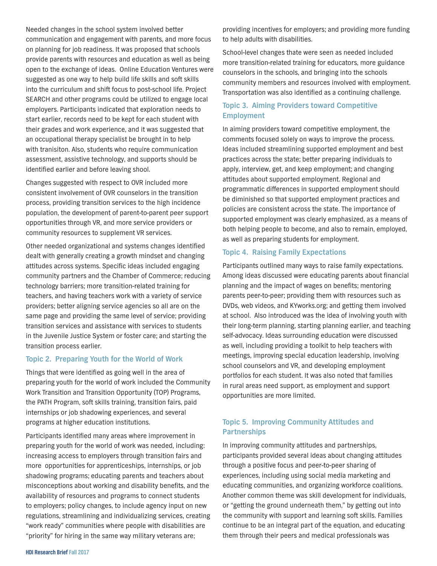Needed changes in the school system involved better communication and engagement with parents, and more focus on planning for job readiness. It was proposed that schools provide parents with resources and education as well as being open to the exchange of ideas. Online Education Ventures were suggested as one way to help build life skills and soft skills into the curriculum and shift focus to post-school life. Project SEARCH and other programs could be utilized to engage local employers. Participants indicated that exploration needs to start earlier, records need to be kept for each student with their grades and work experience, and it was suggested that an occupational therapy specialist be brought in to help with tranisiton. Also, students who require communication assessment, assistive technology, and supports should be identified earlier and before leaving shool.

Changes suggested with respect to OVR included more consistent involvement of OVR counselors in the transition process, providing transition services to the high incidence population, the development of parent-to-parent peer support opportunities through VR, and more service providers or community resources to supplement VR services.

Other needed organizational and systems changes identified dealt with generally creating a growth mindset and changing attitudes across systems. Specific ideas included engaging community partners and the Chamber of Commerce; reducing technology barriers; more transition-related training for teachers, and having teachers work with a variety of service providers; better aligning service agencies so all are on the same page and providing the same level of service; providing transition services and assistance with services to students in the Juvenile Justice System or foster care; and starting the transition process earlier.

#### **Topic 2. Preparing Youth for the World of Work**

Things that were identified as going well in the area of preparing youth for the world of work included the Community Work Transition and Transition Opportunity (TOP) Programs, the PATH Program, soft skills training, transition fairs, paid internships or job shadowing experiences, and several programs at higher education institutions.

Participants identified many areas where improvement in preparing youth for the world of work was needed, including: increasing access to employers through transition fairs and more opportunities for apprenticeships, internships, or job shadowing programs; educating parents and teachers about misconceptions about working and disability benefits, and the availability of resources and programs to connect students to employers; policy changes, to include agency input on new regulations, streamlining and individualizing services, creating "work ready" communities where people with disabilities are "priority" for hiring in the same way military veterans are;

providing incentives for employers; and providing more funding to help adults with disabilities.

School-level changes thate were seen as needed included more transition-related training for educators, more guidance counselors in the schools, and bringing into the schools community members and resources involved with employment. Transportation was also identified as a continuing challenge.

#### **Topic 3. Aiming Providers toward Competitive Employment**

In aiming providers toward competitive employment, the comments focused solely on ways to improve the process. Ideas included streamlining supported employment and best practices across the state; better preparing individuals to apply, interview, get, and keep employment; and changing attitudes about supported employment. Regional and programmatic differences in supported employment should be diminished so that supported employment practices and policies are consistent across the state. The importance of supported employment was clearly emphasized, as a means of both helping people to become, and also to remain, employed, as well as preparing students for employment.

#### **Topic 4. Raising Family Expectations**

Participants outlined many ways to raise family expectations. Among ideas discussed were educating parents about financial planning and the impact of wages on benefits; mentoring parents peer-to-peer; providing them with resources such as DVDs, web videos, and KYworks.org; and getting them involved at school. Also introduced was the idea of involving youth with their long-term planning, starting planning earlier, and teaching self-advocacy. Ideas surrounding education were discussed as well, including providing a toolkit to help teachers with meetings, improving special education leadership, involving school counselors and VR, and developing employment portfolios for each student. It was also noted that families in rural areas need support, as employment and support opportunities are more limited.

#### **Topic 5. Improving Community Attitudes and Partnerships**

In improving community attitudes and partnerships, participants provided several ideas about changing attitudes through a positive focus and peer-to-peer sharing of experiences, including using social media marketing and educating communities, and organizing workforce coalitions. Another common theme was skill development for individuals, or "getting the ground underneath them," by getting out into the community with support and learning soft skills. Families continue to be an integral part of the equation, and educating them through their peers and medical professionals was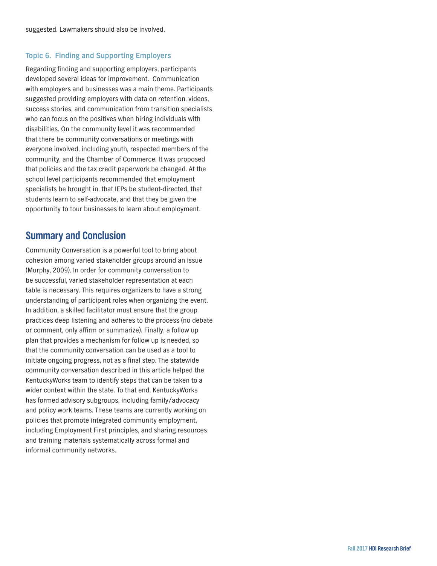#### **Topic 6. Finding and Supporting Employers**

Regarding finding and supporting employers, participants developed several ideas for improvement. Communication with employers and businesses was a main theme. Participants suggested providing employers with data on retention, videos, success stories, and communication from transition specialists who can focus on the positives when hiring individuals with disabilities. On the community level it was recommended that there be community conversations or meetings with everyone involved, including youth, respected members of the community, and the Chamber of Commerce. It was proposed that policies and the tax credit paperwork be changed. At the school level participants recommended that employment specialists be brought in, that IEPs be student-directed, that students learn to self-advocate, and that they be given the opportunity to tour businesses to learn about employment.

### **Summary and Conclusion**

Community Conversation is a powerful tool to bring about cohesion among varied stakeholder groups around an issue (Murphy, 2009). In order for community conversation to be successful, varied stakeholder representation at each table is necessary. This requires organizers to have a strong understanding of participant roles when organizing the event. In addition, a skilled facilitator must ensure that the group practices deep listening and adheres to the process (no debate or comment, only affirm or summarize). Finally, a follow up plan that provides a mechanism for follow up is needed, so that the community conversation can be used as a tool to initiate ongoing progress, not as a final step. The statewide community conversation described in this article helped the KentuckyWorks team to identify steps that can be taken to a wider context within the state. To that end, KentuckyWorks has formed advisory subgroups, including family/advocacy and policy work teams. These teams are currently working on policies that promote integrated community employment, including Employment First principles, and sharing resources and training materials systematically across formal and informal community networks.